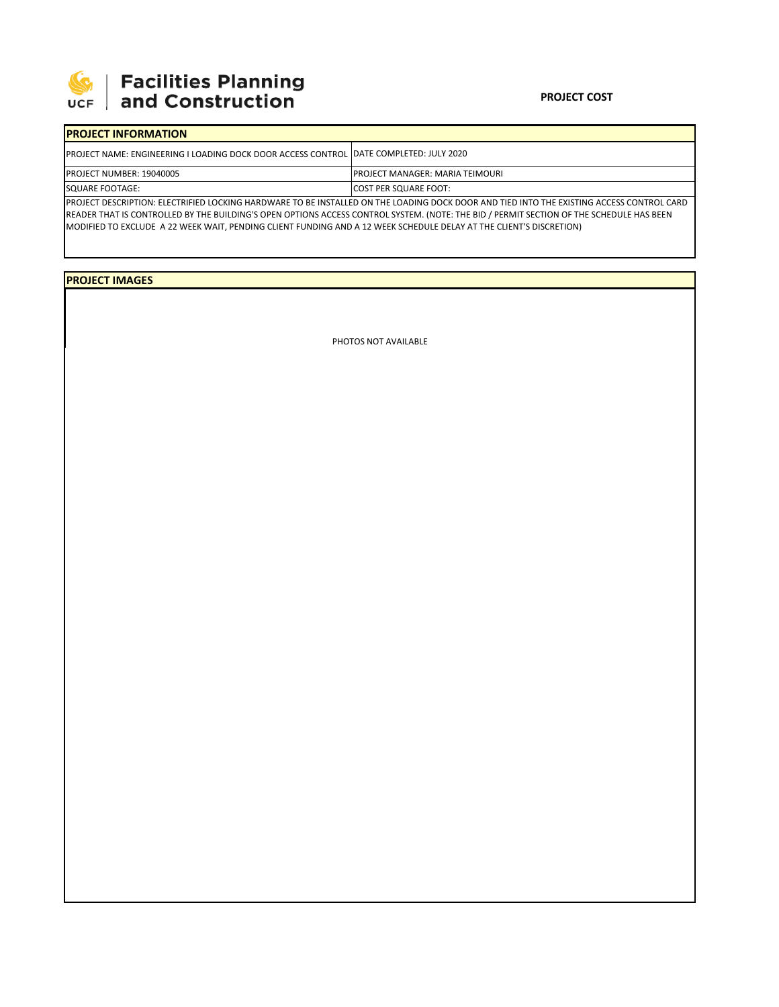

| Facilities Planning<br>| and Construction

## **PROJECT INFORMATION** PROJECT NAME: ENGINEERING I LOADING DOCK DOOR ACCESS CONTROL PROJECT NUMBER: 19040005 SQUARE FOOTAGE: COST PER SQUARE FOOT: DATE COMPLETED: JULY 2020 PROJECT MANAGER: MARIA TEIMOURI

PROJECT DESCRIPTION: ELECTRIFIED LOCKING HARDWARE TO BE INSTALLED ON THE LOADING DOCK DOOR AND TIED INTO THE EXISTING ACCESS CONTROL CARD READER THAT IS CONTROLLED BY THE BUILDING'S OPEN OPTIONS ACCESS CONTROL SYSTEM. (NOTE: THE BID / PERMIT SECTION OF THE SCHEDULE HAS BEEN MODIFIED TO EXCLUDE A 22 WEEK WAIT, PENDING CLIENT FUNDING AND A 12 WEEK SCHEDULE DELAY AT THE CLIENT'S DISCRETION)

## **PROJECT IMAGES**

PHOTOS NOT AVAILABLE